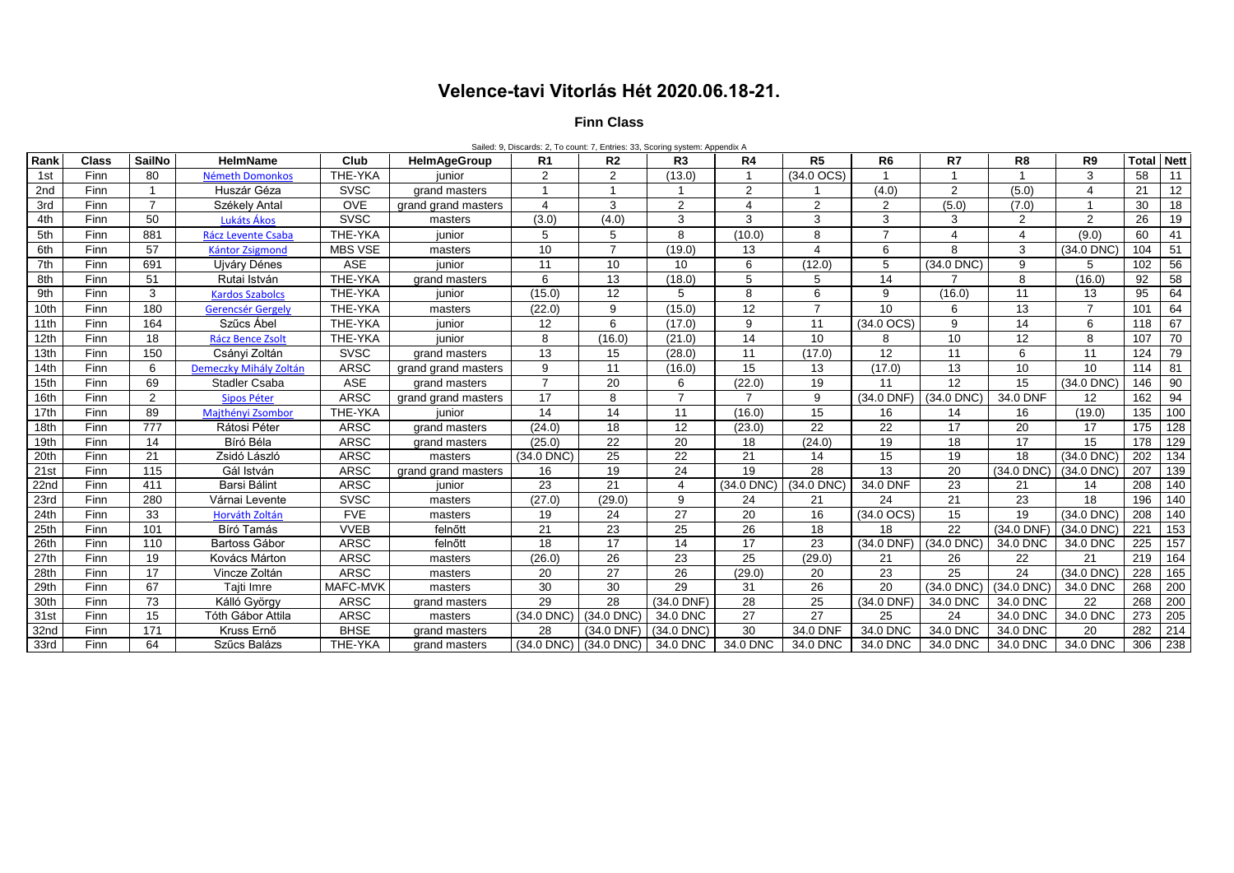## **Velence-tavi Vitorlás Hét 2020.06.18-21.**

## **Finn Class**

Sailed: 9, Discards: 2, To count: 7, Entries: 33, Scoring system: Appendix A

| Rank            | <b>Class</b> | <b>SailNo</b>  | <b>HelmName</b>          | Club           | <b>HelmAgeGroup</b> | R1             | R <sub>2</sub>  | R3                      | R4              | R <sub>5</sub>        | R <sub>6</sub> | R7             | R <sub>8</sub> | R <sub>9</sub>        | <b>Total Nett</b> |                 |
|-----------------|--------------|----------------|--------------------------|----------------|---------------------|----------------|-----------------|-------------------------|-----------------|-----------------------|----------------|----------------|----------------|-----------------------|-------------------|-----------------|
| 1st             | Finn         | 80             | Németh Domonkos          | THE-YKA        | iunior              | 2              | 2               | (13.0)                  | $\mathbf 1$     | $(34.0$ OCS)          |                |                |                | 3                     | 58                | 11              |
| 2 <sub>nd</sub> | Finn         |                | Huszár Géza              | <b>SVSC</b>    | grand masters       |                |                 |                         | 2               |                       | (4.0)          | 2              | (5.0)          | $\boldsymbol{\Delta}$ | 21                | 12              |
| 3rd             | Finn         | $\overline{7}$ | Székely Antal            | <b>OVE</b>     | grand grand masters | 4              | 3               | $\overline{2}$          | $\overline{4}$  | 2                     | $\overline{2}$ | (5.0)          | (7.0)          |                       | 30                | $\overline{18}$ |
| 4th             | Finn         | 50             | Lukáts Ákos              | <b>SVSC</b>    | masters             | (3.0)          | (4.0)           | 3                       | 3               | 3                     | 3              | 3              | $\overline{2}$ | 2                     | 26                | 19              |
| 5th             | Finn         | 881            | Rácz Levente Csaba       | THE-YKA        | iunior              | 5              | 5               | 8                       | (10.0)          | 8                     |                | 4              | 4              | (9.0)                 | 60                | 41              |
| 6th             | Finn         | 57             | Kántor Zsigmond          | <b>MBS VSE</b> | masters             | 10             | $\overline{7}$  | (19.0)                  | 13              | $\boldsymbol{\Delta}$ | 6              | 8              | 3              | (34.0 DNC)            | 104               | 51              |
| 7th             | Finn         | 691            | Ujváry Dénes             | <b>ASE</b>     | iunior              | 11             | 10              | 10                      | 6               | (12.0)                | 5              | (34.0 DNC)     | 9              | 5                     | 102               | 56              |
| 8th             | Finn         | 51             | Rutai István             | THE-YKA        | grand masters       | 6              | 13              | (18.0)                  | 5               | 5                     | 14             | $\overline{ }$ | 8              | (16.0)                | 92                | 58              |
| 9th             | Finn         | 3              | <b>Kardos Szabolcs</b>   | THE-YKA        | junior              | (15.0)         | 12              | 5                       | 8               | 6                     | 9              | (16.0)         | 11             | 13                    | 95                | 64              |
| 10th            | Finn         | 180            | <b>Gerencsér Gergely</b> | THE-YKA        | masters             | (22.0)         | 9               | (15.0)                  | $\overline{12}$ | $\overline{z}$        | 10             | 6              | 13             | $\overline{7}$        | 101               | 64              |
| 11th            | Finn         | 164            | Szűcs Ábel               | THE-YKA        | junior              | 12             | 6               | (17.0)                  | 9               | 11                    | $(34.0$ OCS)   | 9              | 14             | 6                     | 118               | 67              |
| 12th            | Finn         | 18             | Rácz Bence Zsolt         | THE-YKA        | iunior              | 8              | (16.0)          | (21.0)                  | 14              | 10                    | 8              | 10             | 12             | 8                     | 107               | 70              |
| 13th            | Finn         | 150            | Csányi Zoltán            | <b>SVSC</b>    | grand masters       | 13             | 15              | (28.0)                  | 11              | (17.0)                | 12             | 11             | 6              | 11                    | 124               | 79              |
| 14th            | Finn         | 6              | Demeczky Mihály Zoltán   | <b>ARSC</b>    | grand grand masters | 9              | 11              | (16.0)                  | 15              | 13                    | (17.0)         | 13             | 10             | 10                    | 114               | 81              |
| 15th            | Finn         | 69             | <b>Stadler Csaba</b>     | <b>ASE</b>     | grand masters       | $\overline{7}$ | 20              | 6                       | (22.0)          | 19                    | 11             | 12             | 15             | $(34.0$ DNC)          | 146               | 90              |
| 16th            | Finn         | 2              | Sipos Péter              | <b>ARSC</b>    | grand grand masters | 17             | 8               | $\overline{7}$          | $\overline{7}$  | 9                     | (34.0 DNF)     | $(34.0$ DNC)   | 34.0 DNF       | 12                    | 162               | 94              |
| 17th            | Finn         | 89             | Majthényi Zsombor        | THE-YKA        | junior              | 14             | 14              | 11                      | (16.0)          | 15                    | 16             | 14             | 16             | (19.0)                | 135               | 100             |
| 18th            | Finn         | 777            | Rátosi Péter             | <b>ARSC</b>    | grand masters       | (24.0)         | 18              | 12                      | (23.0)          | 22                    | 22             | 17             | 20             | 17                    | 175               | 128             |
| 19th            | Finn         | 14             | Bíró Béla                | <b>ARSC</b>    | grand masters       | (25.0)         | 22              | 20                      | 18              | (24.0)                | 19             | 18             | 17             | 15                    | 178               | 129             |
| 20th            | Finn         | 21             | Zsidó László             | <b>ARSC</b>    | masters             | (34.0 DNC)     | 25              | 22                      | 21              | 14                    | 15             | 19             | 18             | (34.0 DNC)            | 202               | 134             |
| 21st            | Finn         | 115            | Gál István               | <b>ARSC</b>    | grand grand masters | 16             | 19              | 24                      | 19              | 28                    | 13             | 20             | $(34.0$ DNC)   | $(34.0$ DNC)          | 207               | 139             |
| 22nd            | Finn         | 411            | Barsi Bálint             | <b>ARSC</b>    | iunior              | 23             | 21              | $\overline{\mathbf{A}}$ | (34.0 DNC)      | $(34.0$ DNC)          | 34.0 DNF       | 23             | 21             | 14                    | 208               | 140             |
| 23rd            | Finn         | 280            | Várnai Levente           | <b>SVSC</b>    | masters             | (27.0)         | (29.0)          | 9                       | 24              | 21                    | 24             | 21             | 23             | 18                    | 196               | 140             |
| 24th            | Finn         | 33             | Horváth Zoltán           | <b>FVE</b>     | masters             | 19             | 24              | 27                      | 20              | 16                    | $(34.0$ OCS)   | 15             | 19             | (34.0 DNC)            | 208               | 140             |
| 25th            | Finn         | 101            | Bíró Tamás               | <b>VVEB</b>    | felnőtt             | 21             | 23              | 25                      | 26              | 18                    | 18             | 22             | (34.0 DNF)     | (34.0 DNC)            | 221               | 153             |
| 26th            | Finn         | 110            | Bartoss Gábor            | <b>ARSC</b>    | felnőtt             | 18             | 17              | 14                      | 17              | 23                    | (34.0 DNF)     | (34.0 DNC)     | 34.0 DNC       | 34.0 DNC              | 225               | 157             |
| 27th            | Finn         | 19             | Kovács Márton            | <b>ARSC</b>    | masters             | (26.0)         | 26              | 23                      | 25              | (29.0)                | 21             | 26             | 22             | 21                    | 219               | 164             |
| 28th            | Finn         | 17             | Vincze Zoltán            | <b>ARSC</b>    | masters             | 20             | $\overline{27}$ | 26                      | (29.0)          | 20                    | 23             | 25             | 24             | (34.0 DNC)            | 228               | 165             |
| 29th            | Finn         | 67             | Taiti Imre               | MAFC-MVK       | masters             | 30             | 30              | 29                      | 31              | 26                    | 20             | (34.0 DNC)     | $(34.0$ DNC)   | 34.0 DNC              | 268               | 200             |
| 30th            | Finn         | 73             | Kálló György             | <b>ARSC</b>    | grand masters       | 29             | 28              | (34.0 DNF)              | 28              | 25                    | (34.0 DNF)     | 34.0 DNC       | 34.0 DNC       | 22                    | 268               | 200             |
| 31st            | Finn         | 15             | Tóth Gábor Attila        | <b>ARSC</b>    | masters             | (34.0 DNC)     | (34.0 DNC)      | 34.0 DNC                | 27              | 27                    | 25             | 24             | 34.0 DNC       | 34.0 DNC              | 273               | 205             |
| 32nd            | Finn         | 171            | Kruss Ernő               | <b>BHSE</b>    | grand masters       | 28             | $(34.0$ DNF)    | $(34.0$ DNC)            | 30              | 34.0 DNF              | 34.0 DNC       | 34.0 DNC       | 34.0 DNC       | 20                    | 282               | 214             |
| 33rd            | Finn         | 64             | Szűcs Balázs             | THE-YKA        | grand masters       | (34.0 DNC)     | $(34.0$ DNC $)$ | 34.0 DNC                | 34.0 DNC        | 34.0 DNC              | 34.0 DNC       | 34.0 DNC       | 34.0 DNC       | 34.0 DNC              | 306               | 238             |